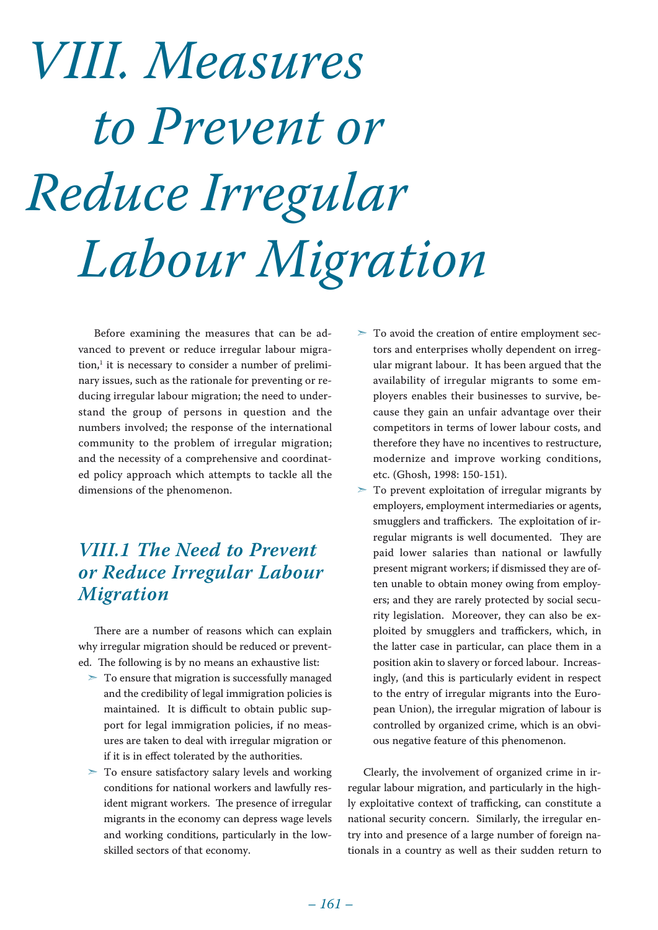# *VIII. Measures to Prevent or Reduce Irregular Labour Migration*

Before examining the measures that can be advanced to prevent or reduce irregular labour migration,<sup>1</sup> it is necessary to consider a number of preliminary issues, such as the rationale for preventing or reducing irregular labour migration; the need to understand the group of persons in question and the numbers involved; the response of the international community to the problem of irregular migration; and the necessity of a comprehensive and coordinated policy approach which attempts to tackle all the dimensions of the phenomenon.

# *VIII.1 The Need to Prevent or Reduce Irregular Labour Migration*

There are a number of reasons which can explain why irregular migration should be reduced or prevented. The following is by no means an exhaustive list:

- $>$  To ensure that migration is successfully managed and the credibility of legal immigration policies is maintained. It is difficult to obtain public support for legal immigration policies, if no measures are taken to deal with irregular migration or if it is in effect tolerated by the authorities.
- $>$  To ensure satisfactory salary levels and working conditions for national workers and lawfully resident migrant workers. The presence of irregular migrants in the economy can depress wage levels and working conditions, particularly in the lowskilled sectors of that economy.
- $>$  To avoid the creation of entire employment sectors and enterprises wholly dependent on irregular migrant labour. It has been argued that the availability of irregular migrants to some employers enables their businesses to survive, because they gain an unfair advantage over their competitors in terms of lower labour costs, and therefore they have no incentives to restructure, modernize and improve working conditions, etc. (Ghosh, 1998: 150-151).
- $>$  To prevent exploitation of irregular migrants by employers, employment intermediaries or agents, smugglers and traffickers. The exploitation of irregular migrants is well documented. They are paid lower salaries than national or lawfully present migrant workers; if dismissed they are often unable to obtain money owing from employers; and they are rarely protected by social security legislation. Moreover, they can also be exploited by smugglers and traffickers, which, in the latter case in particular, can place them in a position akin to slavery or forced labour. Increasingly, (and this is particularly evident in respect to the entry of irregular migrants into the European Union), the irregular migration of labour is controlled by organized crime, which is an obvious negative feature of this phenomenon.

Clearly, the involvement of organized crime in irregular labour migration, and particularly in the highly exploitative context of trafficking, can constitute a national security concern. Similarly, the irregular entry into and presence of a large number of foreign nationals in a country as well as their sudden return to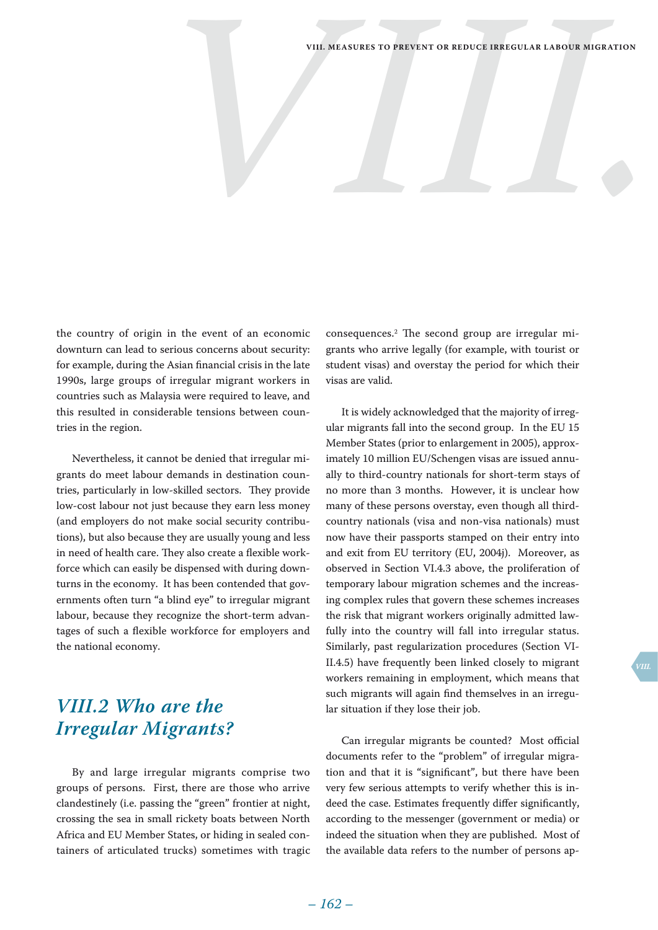the country of origin in the event of an economic downturn can lead to serious concerns about security: for example, during the Asian financial crisis in the late 1990s, large groups of irregular migrant workers in countries such as Malaysia were required to leave, and this resulted in considerable tensions between countries in the region.

Nevertheless, it cannot be denied that irregular migrants do meet labour demands in destination countries, particularly in low-skilled sectors. They provide low-cost labour not just because they earn less money (and employers do not make social security contributions), but also because they are usually young and less in need of health care. They also create a flexible workforce which can easily be dispensed with during downturns in the economy. It has been contended that governments often turn "a blind eye" to irregular migrant labour, because they recognize the short-term advantages of such a flexible workforce for employers and the national economy.

# *VIII.2 Who are the Irregular Migrants?*

By and large irregular migrants comprise two groups of persons. First, there are those who arrive clandestinely (i.e. passing the "green" frontier at night, crossing the sea in small rickety boats between North Africa and EU Member States, or hiding in sealed containers of articulated trucks) sometimes with tragic

consequences.2 The second group are irregular migrants who arrive legally (for example, with tourist or student visas) and overstay the period for which their visas are valid.

It is widely acknowledged that the majority of irregular migrants fall into the second group. In the EU 15 Member States (prior to enlargement in 2005), approximately 10 million EU/Schengen visas are issued annually to third-country nationals for short-term stays of no more than 3 months. However, it is unclear how many of these persons overstay, even though all thirdcountry nationals (visa and non-visa nationals) must now have their passports stamped on their entry into and exit from EU territory (EU, 2004j). Moreover, as observed in Section VI.4.3 above, the proliferation of temporary labour migration schemes and the increasing complex rules that govern these schemes increases the risk that migrant workers originally admitted lawfully into the country will fall into irregular status. Similarly, past regularization procedures (Section VI-II.4.5) have frequently been linked closely to migrant workers remaining in employment, which means that such migrants will again find themselves in an irregular situation if they lose their job.

Can irregular migrants be counted? Most official documents refer to the "problem" of irregular migration and that it is "significant", but there have been very few serious attempts to verify whether this is indeed the case. Estimates frequently differ significantly, according to the messenger (government or media) or indeed the situation when they are published. Most of the available data refers to the number of persons ap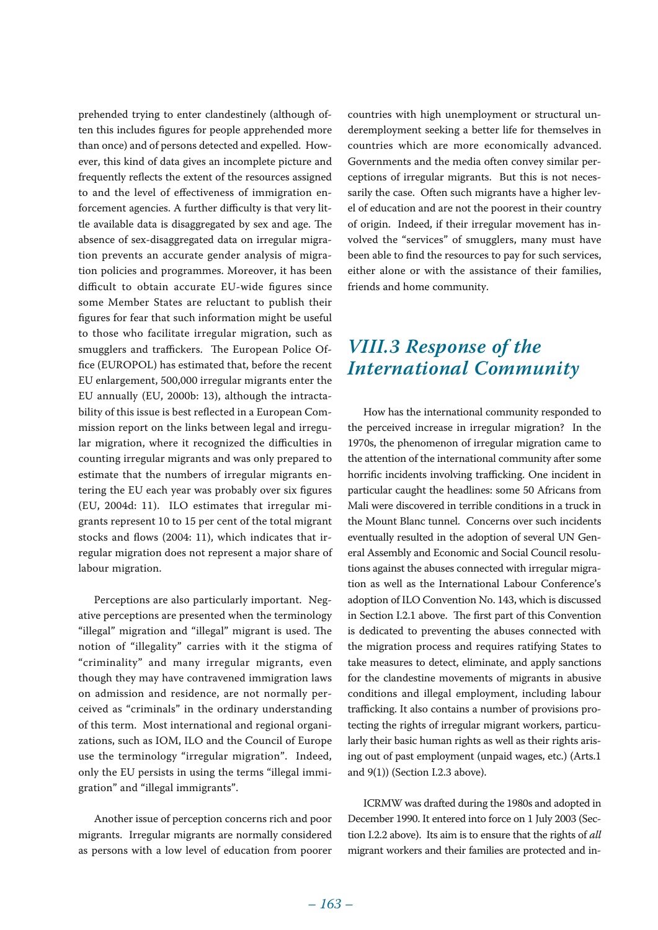prehended trying to enter clandestinely (although often this includes figures for people apprehended more than once) and of persons detected and expelled. However, this kind of data gives an incomplete picture and frequently reflects the extent of the resources assigned to and the level of effectiveness of immigration enforcement agencies. A further difficulty is that very little available data is disaggregated by sex and age. The absence of sex-disaggregated data on irregular migration prevents an accurate gender analysis of migration policies and programmes. Moreover, it has been difficult to obtain accurate EU-wide figures since some Member States are reluctant to publish their figures for fear that such information might be useful to those who facilitate irregular migration, such as smugglers and traffickers. The European Police Office (EUROPOL) has estimated that, before the recent EU enlargement, 500,000 irregular migrants enter the EU annually (EU, 2000b: 13), although the intractability of this issue is best reflected in a European Commission report on the links between legal and irregular migration, where it recognized the difficulties in counting irregular migrants and was only prepared to estimate that the numbers of irregular migrants entering the EU each year was probably over six figures (EU, 2004d: 11). ILO estimates that irregular migrants represent 10 to 15 per cent of the total migrant stocks and flows (2004: 11), which indicates that irregular migration does not represent a major share of labour migration.

Perceptions are also particularly important. Negative perceptions are presented when the terminology "illegal" migration and "illegal" migrant is used. The notion of "illegality" carries with it the stigma of "criminality" and many irregular migrants, even though they may have contravened immigration laws on admission and residence, are not normally perceived as "criminals" in the ordinary understanding of this term. Most international and regional organizations, such as IOM, ILO and the Council of Europe use the terminology "irregular migration". Indeed, only the EU persists in using the terms "illegal immigration" and "illegal immigrants".

Another issue of perception concerns rich and poor migrants. Irregular migrants are normally considered as persons with a low level of education from poorer countries with high unemployment or structural underemployment seeking a better life for themselves in countries which are more economically advanced. Governments and the media often convey similar perceptions of irregular migrants. But this is not necessarily the case. Often such migrants have a higher level of education and are not the poorest in their country of origin. Indeed, if their irregular movement has involved the "services" of smugglers, many must have been able to find the resources to pay for such services, either alone or with the assistance of their families, friends and home community.

# *VIII.3 Response of the International Community*

How has the international community responded to the perceived increase in irregular migration? In the 1970s, the phenomenon of irregular migration came to the attention of the international community after some horrific incidents involving trafficking. One incident in particular caught the headlines: some 50 Africans from Mali were discovered in terrible conditions in a truck in the Mount Blanc tunnel. Concerns over such incidents eventually resulted in the adoption of several UN General Assembly and Economic and Social Council resolutions against the abuses connected with irregular migration as well as the International Labour Conference's adoption of ILO Convention No. 143, which is discussed in Section I.2.1 above. The first part of this Convention is dedicated to preventing the abuses connected with the migration process and requires ratifying States to take measures to detect, eliminate, and apply sanctions for the clandestine movements of migrants in abusive conditions and illegal employment, including labour trafficking. It also contains a number of provisions protecting the rights of irregular migrant workers, particularly their basic human rights as well as their rights arising out of past employment (unpaid wages, etc.) (Arts.1 and 9(1)) (Section I.2.3 above).

ICRMW was drafted during the 1980s and adopted in December 1990. It entered into force on 1 July 2003 (Section I.2.2 above). Its aim is to ensure that the rights of *all*  migrant workers and their families are protected and in-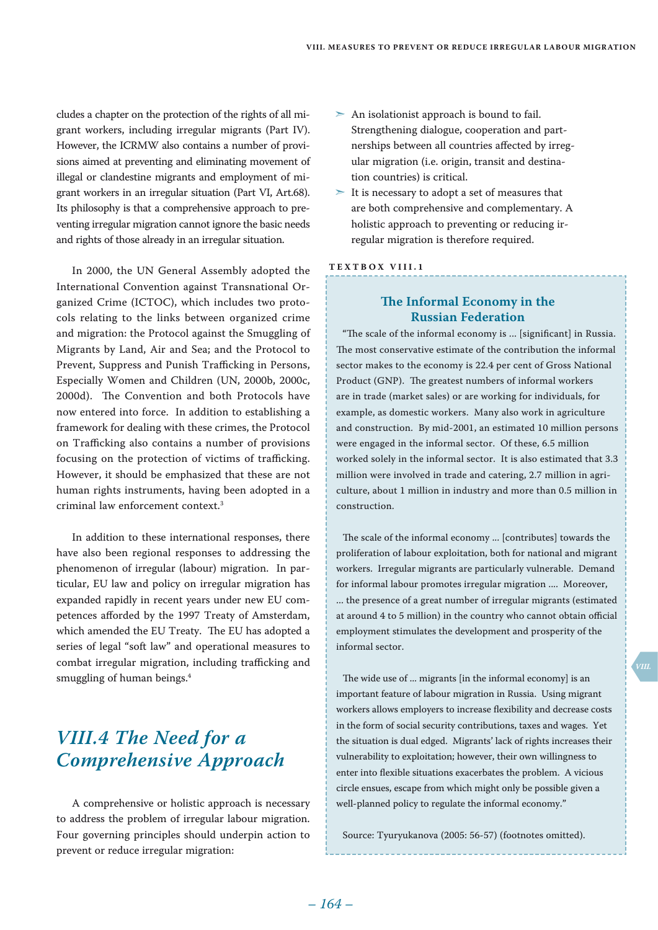cludes a chapter on the protection of the rights of all migrant workers, including irregular migrants (Part IV). However, the ICRMW also contains a number of provisions aimed at preventing and eliminating movement of illegal or clandestine migrants and employment of migrant workers in an irregular situation (Part VI, Art.68). Its philosophy is that a comprehensive approach to preventing irregular migration cannot ignore the basic needs and rights of those already in an irregular situation.

In 2000, the UN General Assembly adopted the International Convention against Transnational Organized Crime (ICTOC), which includes two protocols relating to the links between organized crime and migration: the Protocol against the Smuggling of Migrants by Land, Air and Sea; and the Protocol to Prevent, Suppress and Punish Trafficking in Persons, Especially Women and Children (UN, 2000b, 2000c, 2000d). The Convention and both Protocols have now entered into force. In addition to establishing a framework for dealing with these crimes, the Protocol on Trafficking also contains a number of provisions focusing on the protection of victims of trafficking. However, it should be emphasized that these are not human rights instruments, having been adopted in a criminal law enforcement context.3

In addition to these international responses, there have also been regional responses to addressing the phenomenon of irregular (labour) migration. In particular, EU law and policy on irregular migration has expanded rapidly in recent years under new EU competences afforded by the 1997 Treaty of Amsterdam, which amended the EU Treaty. The EU has adopted a series of legal "soft law" and operational measures to combat irregular migration, including trafficking and smuggling of human beings.4

# *VIII.4 The Need for a Comprehensive Approach*

A comprehensive or holistic approach is necessary to address the problem of irregular labour migration. Four governing principles should underpin action to prevent or reduce irregular migration:

- $>$  An isolationist approach is bound to fail. Strengthening dialogue, cooperation and partnerships between all countries affected by irregular migration (i.e. origin, transit and destination countries) is critical.
- $>$  It is necessary to adopt a set of measures that are both comprehensive and complementary. A holistic approach to preventing or reducing irregular migration is therefore required.

#### **Te x t bo x VIII . 1**

# **The Informal Economy in the Russian Federation**

"The scale of the informal economy is ... [significant] in Russia. The most conservative estimate of the contribution the informal sector makes to the economy is 22.4 per cent of Gross National Product (GNP). The greatest numbers of informal workers are in trade (market sales) or are working for individuals, for example, as domestic workers. Many also work in agriculture and construction. By mid-2001, an estimated 10 million persons were engaged in the informal sector. Of these, 6.5 million worked solely in the informal sector. It is also estimated that 3.3 million were involved in trade and catering, 2.7 million in agriculture, about 1 million in industry and more than 0.5 million in construction.

The scale of the informal economy ... [contributes] towards the proliferation of labour exploitation, both for national and migrant workers. Irregular migrants are particularly vulnerable. Demand for informal labour promotes irregular migration .... Moreover, ... the presence of a great number of irregular migrants (estimated at around 4 to 5 million) in the country who cannot obtain official employment stimulates the development and prosperity of the informal sector.

The wide use of ... migrants [in the informal economy] is an important feature of labour migration in Russia. Using migrant workers allows employers to increase flexibility and decrease costs in the form of social security contributions, taxes and wages. Yet the situation is dual edged. Migrants' lack of rights increases their vulnerability to exploitation; however, their own willingness to enter into flexible situations exacerbates the problem. A vicious circle ensues, escape from which might only be possible given a well-planned policy to regulate the informal economy."

Source: Tyuryukanova (2005: 56-57) (footnotes omitted).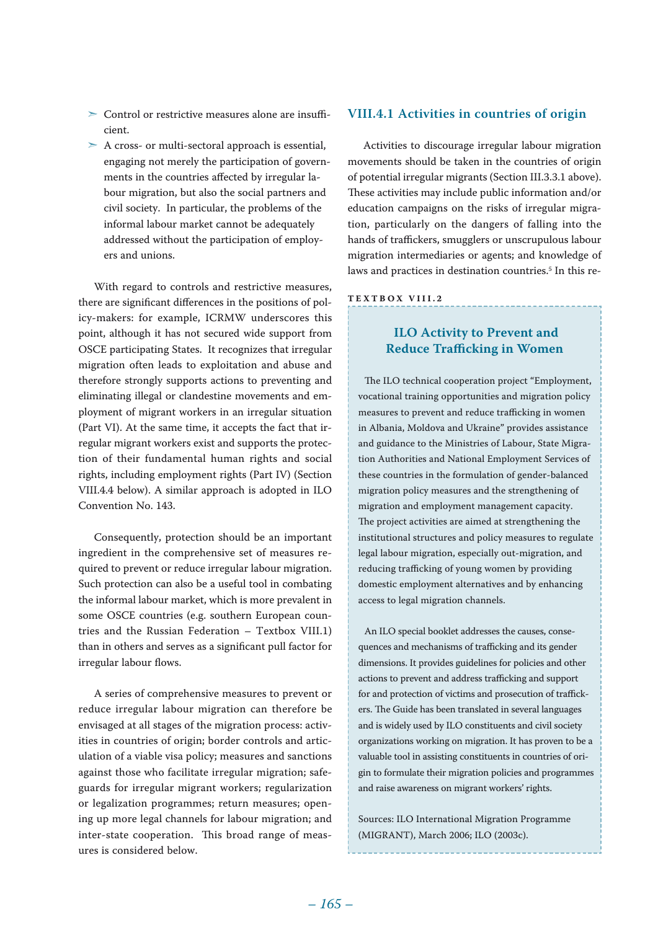- ➣ Control or restrictive measures alone are insufficient.
- $\geq$  A cross- or multi-sectoral approach is essential, engaging not merely the participation of governments in the countries affected by irregular labour migration, but also the social partners and civil society. In particular, the problems of the informal labour market cannot be adequately addressed without the participation of employers and unions.

With regard to controls and restrictive measures, there are significant differences in the positions of policy-makers: for example, ICRMW underscores this point, although it has not secured wide support from OSCE participating States. It recognizes that irregular migration often leads to exploitation and abuse and therefore strongly supports actions to preventing and eliminating illegal or clandestine movements and employment of migrant workers in an irregular situation (Part VI). At the same time, it accepts the fact that irregular migrant workers exist and supports the protection of their fundamental human rights and social rights, including employment rights (Part IV) (Section VIII.4.4 below). A similar approach is adopted in ILO Convention No. 143.

Consequently, protection should be an important ingredient in the comprehensive set of measures required to prevent or reduce irregular labour migration. Such protection can also be a useful tool in combating the informal labour market, which is more prevalent in some OSCE countries (e.g. southern European countries and the Russian Federation – Textbox VIII.1) than in others and serves as a significant pull factor for irregular labour flows.

A series of comprehensive measures to prevent or reduce irregular labour migration can therefore be envisaged at all stages of the migration process: activities in countries of origin; border controls and articulation of a viable visa policy; measures and sanctions against those who facilitate irregular migration; safeguards for irregular migrant workers; regularization or legalization programmes; return measures; opening up more legal channels for labour migration; and inter-state cooperation. This broad range of measures is considered below.

## **VIII.4.1 Activities in countries of origin**

Activities to discourage irregular labour migration movements should be taken in the countries of origin of potential irregular migrants (Section III.3.3.1 above). These activities may include public information and/or education campaigns on the risks of irregular migration, particularly on the dangers of falling into the hands of traffickers, smugglers or unscrupulous labour migration intermediaries or agents; and knowledge of laws and practices in destination countries.<sup>5</sup> In this re-

#### **Te x t bo x VIII . 2**

# **ILO Activity to Prevent and Reduce Trafficking in Women**

The ILO technical cooperation project "Employment, vocational training opportunities and migration policy measures to prevent and reduce trafficking in women in Albania, Moldova and Ukraine" provides assistance and guidance to the Ministries of Labour, State Migration Authorities and National Employment Services of these countries in the formulation of gender-balanced migration policy measures and the strengthening of migration and employment management capacity. The project activities are aimed at strengthening the institutional structures and policy measures to regulate legal labour migration, especially out-migration, and reducing trafficking of young women by providing domestic employment alternatives and by enhancing access to legal migration channels.

An ILO special booklet addresses the causes, consequences and mechanisms of trafficking and its gender dimensions. It provides guidelines for policies and other actions to prevent and address trafficking and support for and protection of victims and prosecution of traffickers. The Guide has been translated in several languages and is widely used by ILO constituents and civil society organizations working on migration. It has proven to be a valuable tool in assisting constituents in countries of origin to formulate their migration policies and programmes and raise awareness on migrant workers' rights.

Sources: ILO International Migration Programme (MIGRANT), March 2006; ILO (2003c).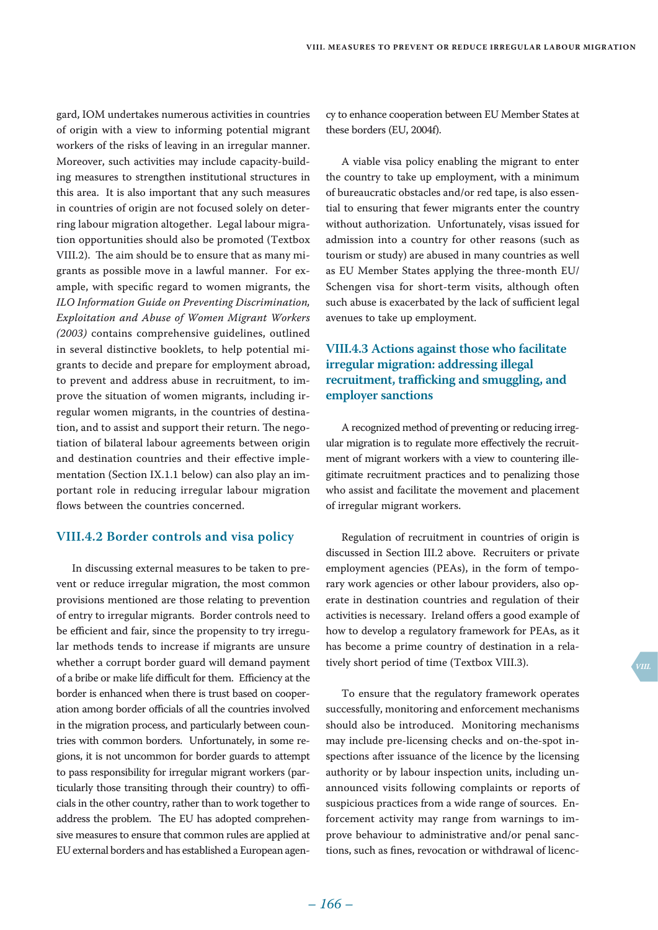gard, IOM undertakes numerous activities in countries of origin with a view to informing potential migrant workers of the risks of leaving in an irregular manner. Moreover, such activities may include capacity-building measures to strengthen institutional structures in this area. It is also important that any such measures in countries of origin are not focused solely on deterring labour migration altogether. Legal labour migration opportunities should also be promoted (Textbox VIII.2). The aim should be to ensure that as many migrants as possible move in a lawful manner. For example, with specific regard to women migrants, the *ILO Information Guide on Preventing Discrimination, Exploitation and Abuse of Women Migrant Workers (2003)* contains comprehensive guidelines, outlined in several distinctive booklets, to help potential migrants to decide and prepare for employment abroad, to prevent and address abuse in recruitment, to improve the situation of women migrants, including irregular women migrants, in the countries of destination, and to assist and support their return. The negotiation of bilateral labour agreements between origin and destination countries and their effective implementation (Section IX.1.1 below) can also play an important role in reducing irregular labour migration flows between the countries concerned.

# **VIII.4.2 Border controls and visa policy**

In discussing external measures to be taken to prevent or reduce irregular migration, the most common provisions mentioned are those relating to prevention of entry to irregular migrants. Border controls need to be efficient and fair, since the propensity to try irregular methods tends to increase if migrants are unsure whether a corrupt border guard will demand payment of a bribe or make life difficult for them. Efficiency at the border is enhanced when there is trust based on cooperation among border officials of all the countries involved in the migration process, and particularly between countries with common borders. Unfortunately, in some regions, it is not uncommon for border guards to attempt to pass responsibility for irregular migrant workers (particularly those transiting through their country) to officials in the other country, rather than to work together to address the problem. The EU has adopted comprehensive measures to ensure that common rules are applied at EU external borders and has established a European agency to enhance cooperation between EU Member States at these borders (EU, 2004f).

A viable visa policy enabling the migrant to enter the country to take up employment, with a minimum of bureaucratic obstacles and/or red tape, is also essential to ensuring that fewer migrants enter the country without authorization. Unfortunately, visas issued for admission into a country for other reasons (such as tourism or study) are abused in many countries as well as EU Member States applying the three-month EU/ Schengen visa for short-term visits, although often such abuse is exacerbated by the lack of sufficient legal avenues to take up employment.

# **VIII.4.3 Actions against those who facilitate irregular migration: addressing illegal recruitment, trafficking and smuggling, and employer sanctions**

A recognized method of preventing or reducing irregular migration is to regulate more effectively the recruitment of migrant workers with a view to countering illegitimate recruitment practices and to penalizing those who assist and facilitate the movement and placement of irregular migrant workers.

Regulation of recruitment in countries of origin is discussed in Section III.2 above. Recruiters or private employment agencies (PEAs), in the form of temporary work agencies or other labour providers, also operate in destination countries and regulation of their activities is necessary. Ireland offers a good example of how to develop a regulatory framework for PEAs, as it has become a prime country of destination in a relatively short period of time (Textbox VIII.3).

To ensure that the regulatory framework operates successfully, monitoring and enforcement mechanisms should also be introduced. Monitoring mechanisms may include pre-licensing checks and on-the-spot inspections after issuance of the licence by the licensing authority or by labour inspection units, including unannounced visits following complaints or reports of suspicious practices from a wide range of sources. Enforcement activity may range from warnings to improve behaviour to administrative and/or penal sanctions, such as fines, revocation or withdrawal of licenc-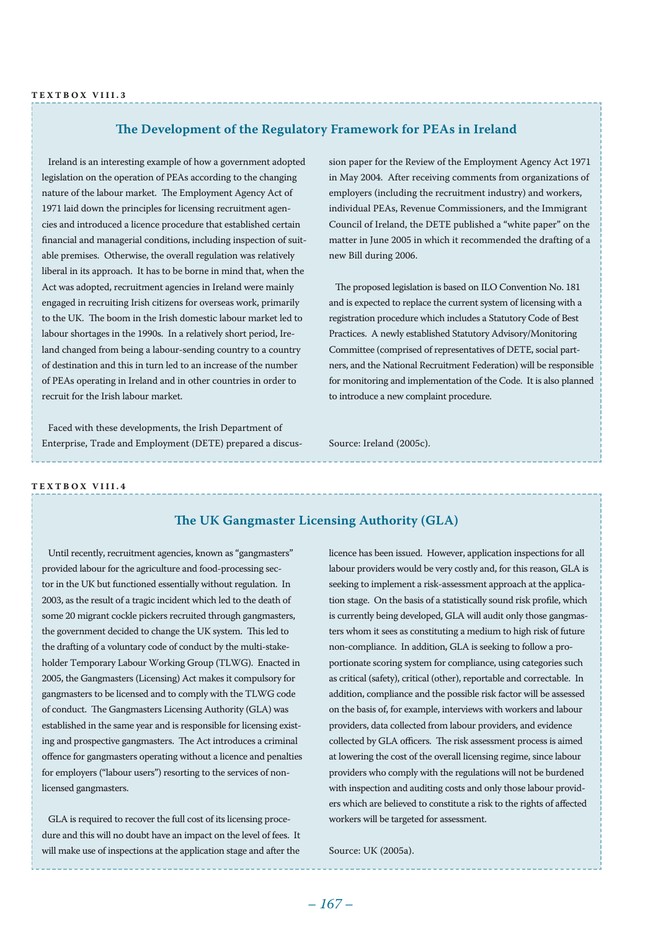# **The Development of the Regulatory Framework for PEAs in Ireland**

Ireland is an interesting example of how a government adopted legislation on the operation of PEAs according to the changing nature of the labour market. The Employment Agency Act of 1971 laid down the principles for licensing recruitment agencies and introduced a licence procedure that established certain financial and managerial conditions, including inspection of suitable premises. Otherwise, the overall regulation was relatively liberal in its approach. It has to be borne in mind that, when the Act was adopted, recruitment agencies in Ireland were mainly engaged in recruiting Irish citizens for overseas work, primarily to the UK. The boom in the Irish domestic labour market led to labour shortages in the 1990s. In a relatively short period, Ireland changed from being a labour-sending country to a country of destination and this in turn led to an increase of the number of PEAs operating in Ireland and in other countries in order to recruit for the Irish labour market.

Faced with these developments, the Irish Department of Enterprise, Trade and Employment (DETE) prepared a discussion paper for the Review of the Employment Agency Act 1971 in May 2004. After receiving comments from organizations of employers (including the recruitment industry) and workers, individual PEAs, Revenue Commissioners, and the Immigrant Council of Ireland, the DETE published a "white paper" on the matter in June 2005 in which it recommended the drafting of a new Bill during 2006.

The proposed legislation is based on ILO Convention No. 181 and is expected to replace the current system of licensing with a registration procedure which includes a Statutory Code of Best Practices. A newly established Statutory Advisory/Monitoring Committee (comprised of representatives of DETE, social partners, and the National Recruitment Federation) will be responsible for monitoring and implementation of the Code. It is also planned to introduce a new complaint procedure.

Source: Ireland (2005c).

#### **Te x t bo x VIII . 4**

## **The UK Gangmaster Licensing Authority (GLA)**

Until recently, recruitment agencies, known as "gangmasters" provided labour for the agriculture and food-processing sector in the UK but functioned essentially without regulation. In 2003, as the result of a tragic incident which led to the death of some 20 migrant cockle pickers recruited through gangmasters, the government decided to change the UK system. This led to the drafting of a voluntary code of conduct by the multi-stakeholder Temporary Labour Working Group (TLWG). Enacted in 2005, the Gangmasters (Licensing) Act makes it compulsory for gangmasters to be licensed and to comply with the TLWG code of conduct. The Gangmasters Licensing Authority (GLA) was established in the same year and is responsible for licensing existing and prospective gangmasters. The Act introduces a criminal offence for gangmasters operating without a licence and penalties for employers ("labour users") resorting to the services of nonlicensed gangmasters.

GLA is required to recover the full cost of its licensing procedure and this will no doubt have an impact on the level of fees. It will make use of inspections at the application stage and after the

licence has been issued. However, application inspections for all labour providers would be very costly and, for this reason, GLA is seeking to implement a risk-assessment approach at the application stage. On the basis of a statistically sound risk profile, which is currently being developed, GLA will audit only those gangmasters whom it sees as constituting a medium to high risk of future non-compliance. In addition, GLA is seeking to follow a proportionate scoring system for compliance, using categories such as critical (safety), critical (other), reportable and correctable. In addition, compliance and the possible risk factor will be assessed on the basis of, for example, interviews with workers and labour providers, data collected from labour providers, and evidence collected by GLA officers. The risk assessment process is aimed at lowering the cost of the overall licensing regime, since labour providers who comply with the regulations will not be burdened with inspection and auditing costs and only those labour providers which are believed to constitute a risk to the rights of affected workers will be targeted for assessment.

Source: UK (2005a).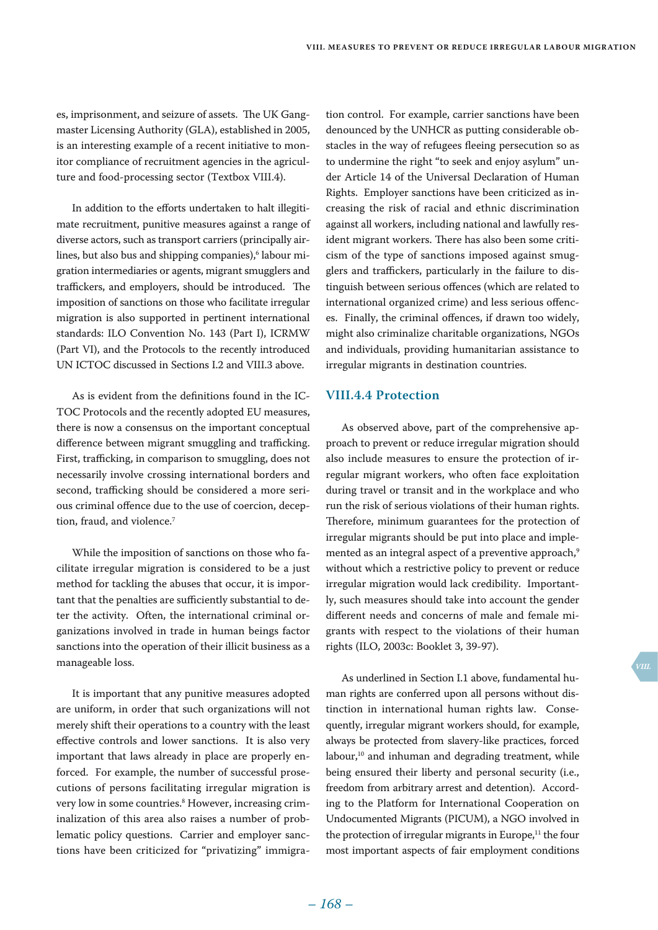es, imprisonment, and seizure of assets. The UK Gangmaster Licensing Authority (GLA), established in 2005, is an interesting example of a recent initiative to monitor compliance of recruitment agencies in the agriculture and food-processing sector (Textbox VIII.4).

In addition to the efforts undertaken to halt illegitimate recruitment, punitive measures against a range of diverse actors, such as transport carriers (principally airlines, but also bus and shipping companies), $^6$  labour migration intermediaries or agents, migrant smugglers and traffickers, and employers, should be introduced. The imposition of sanctions on those who facilitate irregular migration is also supported in pertinent international standards: ILO Convention No. 143 (Part I), ICRMW (Part VI), and the Protocols to the recently introduced UN ICTOC discussed in Sections I.2 and VIII.3 above.

As is evident from the definitions found in the IC-TOC Protocols and the recently adopted EU measures, there is now a consensus on the important conceptual difference between migrant smuggling and trafficking. First, trafficking, in comparison to smuggling, does not necessarily involve crossing international borders and second, trafficking should be considered a more serious criminal offence due to the use of coercion, deception, fraud, and violence.<sup>7</sup>

While the imposition of sanctions on those who facilitate irregular migration is considered to be a just method for tackling the abuses that occur, it is important that the penalties are sufficiently substantial to deter the activity. Often, the international criminal organizations involved in trade in human beings factor sanctions into the operation of their illicit business as a manageable loss.

It is important that any punitive measures adopted are uniform, in order that such organizations will not merely shift their operations to a country with the least effective controls and lower sanctions. It is also very important that laws already in place are properly enforced. For example, the number of successful prosecutions of persons facilitating irregular migration is very low in some countries.8 However, increasing criminalization of this area also raises a number of problematic policy questions. Carrier and employer sanctions have been criticized for "privatizing" immigration control. For example, carrier sanctions have been denounced by the UNHCR as putting considerable obstacles in the way of refugees fleeing persecution so as to undermine the right "to seek and enjoy asylum" under Article 14 of the Universal Declaration of Human Rights. Employer sanctions have been criticized as increasing the risk of racial and ethnic discrimination against all workers, including national and lawfully resident migrant workers. There has also been some criticism of the type of sanctions imposed against smugglers and traffickers, particularly in the failure to distinguish between serious offences (which are related to international organized crime) and less serious offences. Finally, the criminal offences, if drawn too widely, might also criminalize charitable organizations, NGOs and individuals, providing humanitarian assistance to irregular migrants in destination countries.

## **VIII.4.4 Protection**

As observed above, part of the comprehensive approach to prevent or reduce irregular migration should also include measures to ensure the protection of irregular migrant workers, who often face exploitation during travel or transit and in the workplace and who run the risk of serious violations of their human rights. Therefore, minimum guarantees for the protection of irregular migrants should be put into place and implemented as an integral aspect of a preventive approach,<sup>9</sup> without which a restrictive policy to prevent or reduce irregular migration would lack credibility. Importantly, such measures should take into account the gender different needs and concerns of male and female migrants with respect to the violations of their human rights (ILO, 2003c: Booklet 3, 39-97).

As underlined in Section I.1 above, fundamental human rights are conferred upon all persons without distinction in international human rights law. Consequently, irregular migrant workers should, for example, always be protected from slavery-like practices, forced labour,10 and inhuman and degrading treatment, while being ensured their liberty and personal security (i.e., freedom from arbitrary arrest and detention). According to the Platform for International Cooperation on Undocumented Migrants (PICUM), a NGO involved in the protection of irregular migrants in Europe, $11$  the four most important aspects of fair employment conditions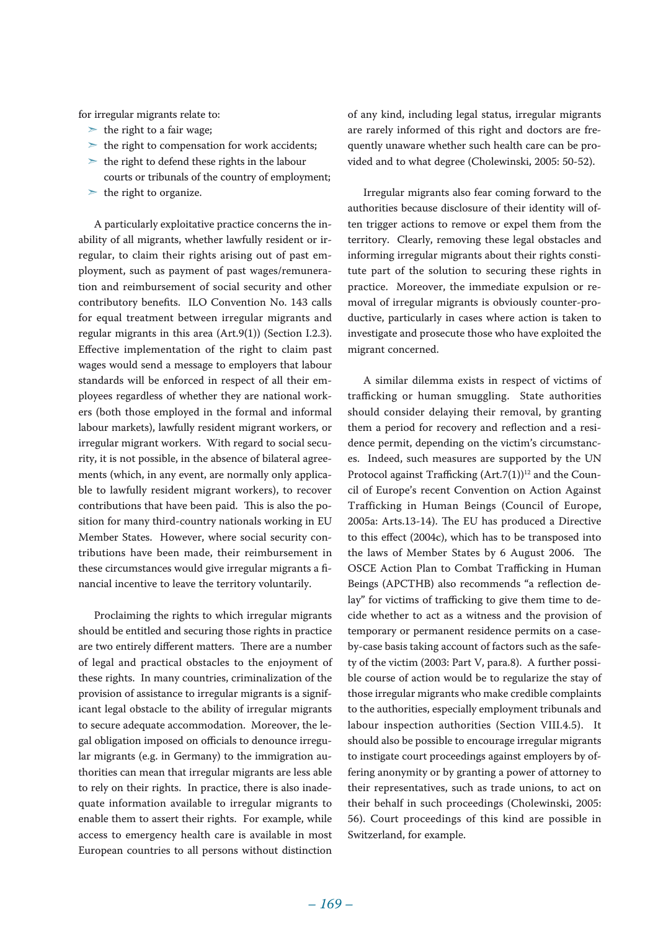for irregular migrants relate to:

- $\geq$  the right to a fair wage:
- $\geq$  the right to compensation for work accidents:
- $\geq$  the right to defend these rights in the labour
- courts or tribunals of the country of employment;
- $\geq$  the right to organize.

A particularly exploitative practice concerns the inability of all migrants, whether lawfully resident or irregular, to claim their rights arising out of past employment, such as payment of past wages/remuneration and reimbursement of social security and other contributory benefits. ILO Convention No. 143 calls for equal treatment between irregular migrants and regular migrants in this area (Art.9(1)) (Section I.2.3). Effective implementation of the right to claim past wages would send a message to employers that labour standards will be enforced in respect of all their employees regardless of whether they are national workers (both those employed in the formal and informal labour markets), lawfully resident migrant workers, or irregular migrant workers. With regard to social security, it is not possible, in the absence of bilateral agreements (which, in any event, are normally only applicable to lawfully resident migrant workers), to recover contributions that have been paid. This is also the position for many third-country nationals working in EU Member States. However, where social security contributions have been made, their reimbursement in these circumstances would give irregular migrants a financial incentive to leave the territory voluntarily.

Proclaiming the rights to which irregular migrants should be entitled and securing those rights in practice are two entirely different matters. There are a number of legal and practical obstacles to the enjoyment of these rights. In many countries, criminalization of the provision of assistance to irregular migrants is a significant legal obstacle to the ability of irregular migrants to secure adequate accommodation. Moreover, the legal obligation imposed on officials to denounce irregular migrants (e.g. in Germany) to the immigration authorities can mean that irregular migrants are less able to rely on their rights. In practice, there is also inadequate information available to irregular migrants to enable them to assert their rights. For example, while access to emergency health care is available in most European countries to all persons without distinction

of any kind, including legal status, irregular migrants are rarely informed of this right and doctors are frequently unaware whether such health care can be provided and to what degree (Cholewinski, 2005: 50-52).

Irregular migrants also fear coming forward to the authorities because disclosure of their identity will often trigger actions to remove or expel them from the territory. Clearly, removing these legal obstacles and informing irregular migrants about their rights constitute part of the solution to securing these rights in practice. Moreover, the immediate expulsion or removal of irregular migrants is obviously counter-productive, particularly in cases where action is taken to investigate and prosecute those who have exploited the migrant concerned.

A similar dilemma exists in respect of victims of trafficking or human smuggling. State authorities should consider delaying their removal, by granting them a period for recovery and reflection and a residence permit, depending on the victim's circumstances. Indeed, such measures are supported by the UN Protocol against Trafficking  $(Art.7(1))^{12}$  and the Council of Europe's recent Convention on Action Against Trafficking in Human Beings (Council of Europe, 2005a: Arts.13-14). The EU has produced a Directive to this effect (2004c), which has to be transposed into the laws of Member States by 6 August 2006. The OSCE Action Plan to Combat Trafficking in Human Beings (APCTHB) also recommends "a reflection delay" for victims of trafficking to give them time to decide whether to act as a witness and the provision of temporary or permanent residence permits on a caseby-case basis taking account of factors such as the safety of the victim (2003: Part V, para.8). A further possible course of action would be to regularize the stay of those irregular migrants who make credible complaints to the authorities, especially employment tribunals and labour inspection authorities (Section VIII.4.5). It should also be possible to encourage irregular migrants to instigate court proceedings against employers by offering anonymity or by granting a power of attorney to their representatives, such as trade unions, to act on their behalf in such proceedings (Cholewinski, 2005: 56). Court proceedings of this kind are possible in Switzerland, for example.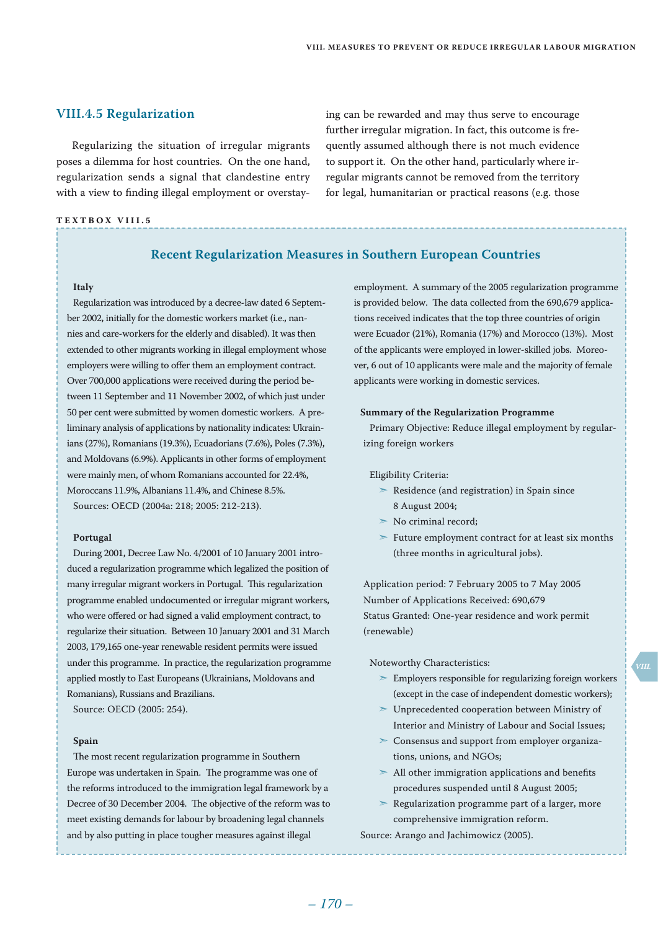ing can be rewarded and may thus serve to encourage further irregular migration. In fact, this outcome is frequently assumed although there is not much evidence to support it. On the other hand, particularly where irregular migrants cannot be removed from the territory for legal, humanitarian or practical reasons (e.g. those

# **VIII.4.5 Regularization**

Regularizing the situation of irregular migrants poses a dilemma for host countries. On the one hand, regularization sends a signal that clandestine entry with a view to finding illegal employment or overstay-

#### **Te x t bo x VIII . 5**

# **Recent Regularization Measures in Southern European Countries**

#### **Italy**

Regularization was introduced by a decree-law dated 6 September 2002, initially for the domestic workers market (i.e., nannies and care-workers for the elderly and disabled). It was then extended to other migrants working in illegal employment whose employers were willing to offer them an employment contract. Over 700,000 applications were received during the period between 11 September and 11 November 2002, of which just under 50 per cent were submitted by women domestic workers. A preliminary analysis of applications by nationality indicates: Ukrainians (27%), Romanians (19.3%), Ecuadorians (7.6%), Poles (7.3%), and Moldovans (6.9%). Applicants in other forms of employment were mainly men, of whom Romanians accounted for 22.4%, Moroccans 11.9%, Albanians 11.4%, and Chinese 8.5%. Sources: OECD (2004a: 218; 2005: 212-213).

#### **Portugal**

During 2001, Decree Law No. 4/2001 of 10 January 2001 introduced a regularization programme which legalized the position of many irregular migrant workers in Portugal. This regularization programme enabled undocumented or irregular migrant workers, who were offered or had signed a valid employment contract, to regularize their situation. Between 10 January 2001 and 31 March 2003, 179,165 one-year renewable resident permits were issued under this programme. In practice, the regularization programme applied mostly to East Europeans (Ukrainians, Moldovans and Romanians), Russians and Brazilians. Source: OECD (2005: 254).

#### **Spain**

The most recent regularization programme in Southern Europe was undertaken in Spain. The programme was one of the reforms introduced to the immigration legal framework by a Decree of 30 December 2004. The objective of the reform was to meet existing demands for labour by broadening legal channels and by also putting in place tougher measures against illegal

employment. A summary of the 2005 regularization programme is provided below. The data collected from the 690,679 applications received indicates that the top three countries of origin were Ecuador (21%), Romania (17%) and Morocco (13%). Most of the applicants were employed in lower-skilled jobs. Moreover, 6 out of 10 applicants were male and the majority of female applicants were working in domestic services.

#### **Summary of the Regularization Programme**

Primary Objective: Reduce illegal employment by regularizing foreign workers

#### Eligibility Criteria:

- $\geq$  Residence (and registration) in Spain since 8 August 2004;
- $\geq$  No criminal record:
- ➣ Future employment contract for at least six months (three months in agricultural jobs).

Application period: 7 February 2005 to 7 May 2005 Number of Applications Received: 690,679 Status Granted: One-year residence and work permit (renewable)

#### Noteworthy Characteristics:

- $\triangleright$  Employers responsible for regularizing foreign workers (except in the case of independent domestic workers);
- ➣ Unprecedented cooperation between Ministry of Interior and Ministry of Labour and Social Issues;
- ➣ Consensus and support from employer organizations, unions, and NGOs;
- $>$  All other immigration applications and benefits procedures suspended until 8 August 2005;
- ➣ Regularization programme part of a larger, more comprehensive immigration reform.

Source: Arango and Jachimowicz (2005).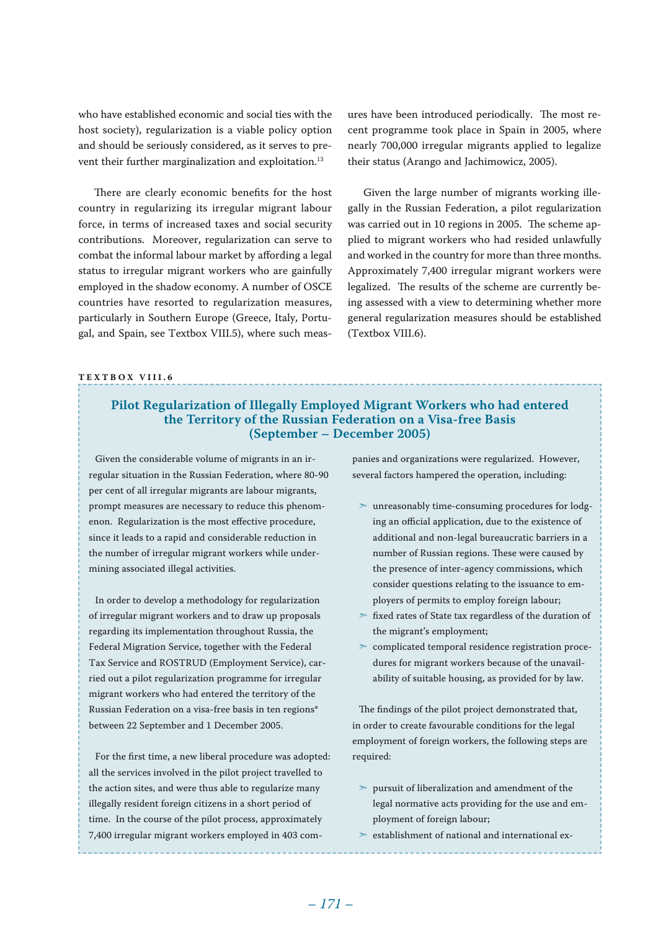who have established economic and social ties with the host society), regularization is a viable policy option and should be seriously considered, as it serves to prevent their further marginalization and exploitation.<sup>13</sup>

There are clearly economic benefits for the host country in regularizing its irregular migrant labour force, in terms of increased taxes and social security contributions. Moreover, regularization can serve to combat the informal labour market by affording a legal status to irregular migrant workers who are gainfully employed in the shadow economy. A number of OSCE countries have resorted to regularization measures, particularly in Southern Europe (Greece, Italy, Portugal, and Spain, see Textbox VIII.5), where such meas-

ures have been introduced periodically. The most recent programme took place in Spain in 2005, where nearly 700,000 irregular migrants applied to legalize their status (Arango and Jachimowicz, 2005).

Given the large number of migrants working illegally in the Russian Federation, a pilot regularization was carried out in 10 regions in 2005. The scheme applied to migrant workers who had resided unlawfully and worked in the country for more than three months. Approximately 7,400 irregular migrant workers were legalized. The results of the scheme are currently being assessed with a view to determining whether more general regularization measures should be established (Textbox VIII.6).

#### **Te x t bo x VIII . 6**

# **Pilot Regularization of Illegally Employed Migrant Workers who had entered the Territory of the Russian Federation on a Visa-free Basis (September – December 2005)**

Given the considerable volume of migrants in an irregular situation in the Russian Federation, where 80-90 per cent of all irregular migrants are labour migrants, prompt measures are necessary to reduce this phenomenon. Regularization is the most effective procedure, since it leads to a rapid and considerable reduction in the number of irregular migrant workers while undermining associated illegal activities.

In order to develop a methodology for regularization of irregular migrant workers and to draw up proposals regarding its implementation throughout Russia, the Federal Migration Service, together with the Federal Tax Service and ROSTRUD (Employment Service), carried out a pilot regularization programme for irregular migrant workers who had entered the territory of the Russian Federation on a visa-free basis in ten regions\* between 22 September and 1 December 2005.

For the first time, a new liberal procedure was adopted: all the services involved in the pilot project travelled to the action sites, and were thus able to regularize many illegally resident foreign citizens in a short period of time. In the course of the pilot process, approximately 7,400 irregular migrant workers employed in 403 companies and organizations were regularized. However, several factors hampered the operation, including:

- ➣ unreasonably time-consuming procedures for lodging an official application, due to the existence of additional and non-legal bureaucratic barriers in a number of Russian regions. These were caused by the presence of inter-agency commissions, which consider questions relating to the issuance to employers of permits to employ foreign labour;
- ➣ fixed rates of State tax regardless of the duration of the migrant's employment;
- ➣ complicated temporal residence registration procedures for migrant workers because of the unavailability of suitable housing, as provided for by law.

The findings of the pilot project demonstrated that, in order to create favourable conditions for the legal employment of foreign workers, the following steps are required:

- $\geq$  pursuit of liberalization and amendment of the legal normative acts providing for the use and employment of foreign labour;
- $\ge$  establishment of national and international ex-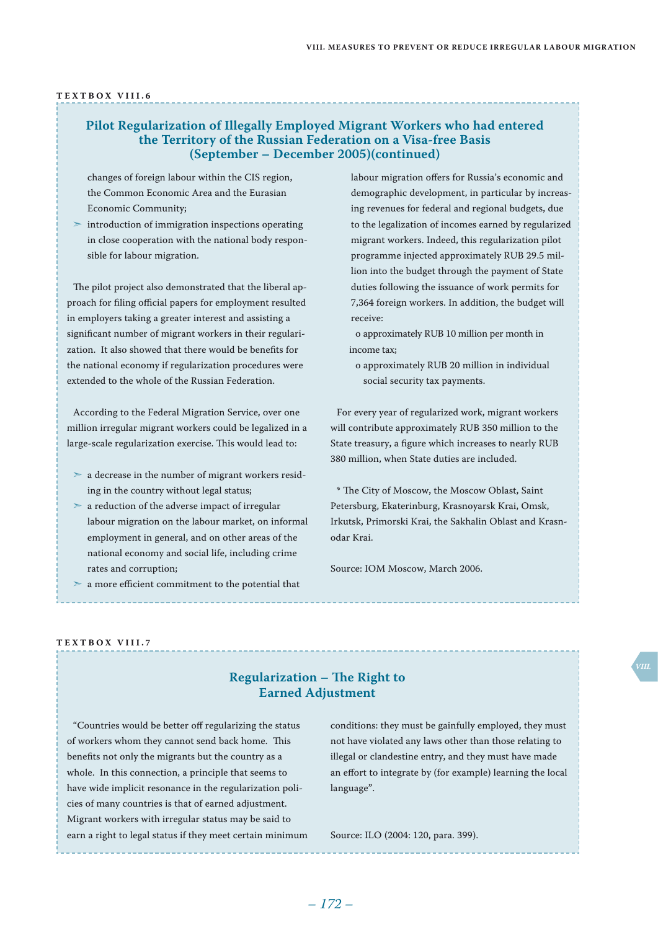#### **Te x t bo x VIII . 6**

# **Pilot Regularization of Illegally Employed Migrant Workers who had entered the Territory of the Russian Federation on a Visa-free Basis (September – December 2005)(continued)**

changes of foreign labour within the CIS region, the Common Economic Area and the Eurasian Economic Community;

 $\geq$  introduction of immigration inspections operating in close cooperation with the national body responsible for labour migration.

The pilot project also demonstrated that the liberal approach for filing official papers for employment resulted in employers taking a greater interest and assisting a significant number of migrant workers in their regularization. It also showed that there would be benefits for the national economy if regularization procedures were extended to the whole of the Russian Federation.

According to the Federal Migration Service, over one million irregular migrant workers could be legalized in a large-scale regularization exercise. This would lead to:

- $\geq$  a decrease in the number of migrant workers residing in the country without legal status;
- $\geq$  a reduction of the adverse impact of irregular labour migration on the labour market, on informal employment in general, and on other areas of the national economy and social life, including crime rates and corruption;
- $>$ a more efficient commitment to the potential that

labour migration offers for Russia's economic and demographic development, in particular by increasing revenues for federal and regional budgets, due to the legalization of incomes earned by regularized migrant workers. Indeed, this regularization pilot programme injected approximately RUB 29.5 million into the budget through the payment of State duties following the issuance of work permits for 7,364 foreign workers. In addition, the budget will receive:

o approximately RUB 10 million per month in income tax;

o approximately RUB 20 million in individual social security tax payments.

For every year of regularized work, migrant workers will contribute approximately RUB 350 million to the State treasury, a figure which increases to nearly RUB 380 million, when State duties are included.

\* The City of Moscow, the Moscow Oblast, Saint Petersburg, Ekaterinburg, Krasnoyarsk Krai, Omsk, Irkutsk, Primorski Krai, the Sakhalin Oblast and Krasnodar Krai.

Source: IOM Moscow, March 2006.

#### **Te x t bo x VIII . 7**

# **Regularization – The Right to Earned Adjustment**

"Countries would be better off regularizing the status of workers whom they cannot send back home. This benefits not only the migrants but the country as a whole. In this connection, a principle that seems to have wide implicit resonance in the regularization policies of many countries is that of earned adjustment. Migrant workers with irregular status may be said to earn a right to legal status if they meet certain minimum

conditions: they must be gainfully employed, they must not have violated any laws other than those relating to illegal or clandestine entry, and they must have made an effort to integrate by (for example) learning the local language".

Source: ILO (2004: 120, para. 399).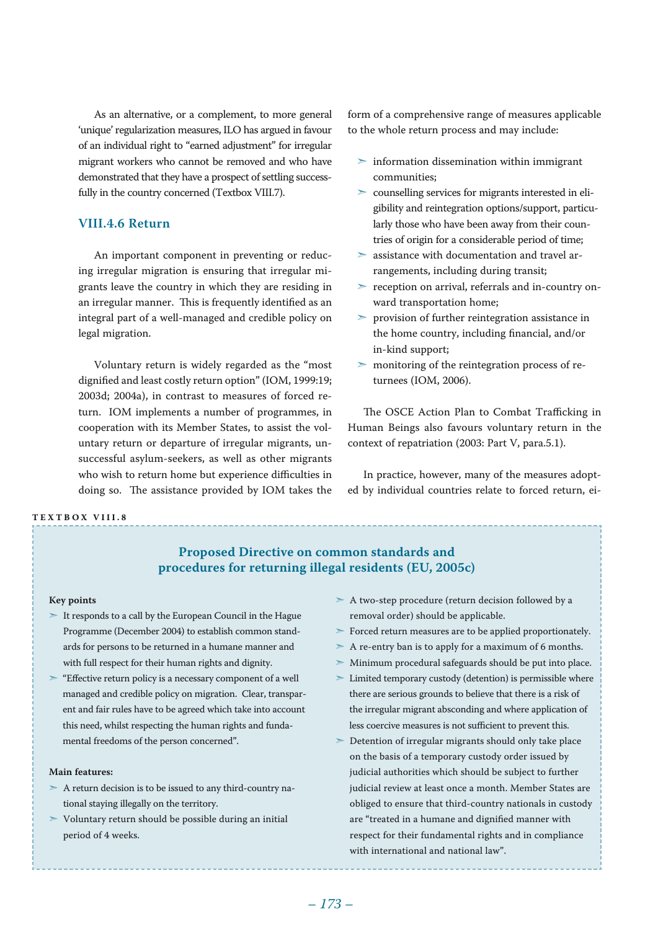As an alternative, or a complement, to more general 'unique' regularization measures, ILO has argued in favour of an individual right to "earned adjustment" for irregular migrant workers who cannot be removed and who have demonstrated that they have a prospect of settling successfully in the country concerned (Textbox VIII.7).

## **VIII.4.6 Return**

An important component in preventing or reducing irregular migration is ensuring that irregular migrants leave the country in which they are residing in an irregular manner. This is frequently identified as an integral part of a well-managed and credible policy on legal migration.

Voluntary return is widely regarded as the "most dignified and least costly return option" (IOM, 1999:19; 2003d; 2004a), in contrast to measures of forced return. IOM implements a number of programmes, in cooperation with its Member States, to assist the voluntary return or departure of irregular migrants, unsuccessful asylum-seekers, as well as other migrants who wish to return home but experience difficulties in doing so. The assistance provided by IOM takes the

#### **Te x t bo x VIII . 8**

form of a comprehensive range of measures applicable to the whole return process and may include:

- $\geq$  information dissemination within immigrant communities;
- ➣ counselling services for migrants interested in eligibility and reintegration options/support, particularly those who have been away from their countries of origin for a considerable period of time;
- ➣ assistance with documentation and travel arrangements, including during transit;
- ➣ reception on arrival, referrals and in-country onward transportation home;
- ➣ provision of further reintegration assistance in the home country, including financial, and/or in-kind support;
- ➣ monitoring of the reintegration process of returnees (IOM, 2006).

The OSCE Action Plan to Combat Trafficking in Human Beings also favours voluntary return in the context of repatriation (2003: Part V, para.5.1).

In practice, however, many of the measures adopted by individual countries relate to forced return, ei-

# **Proposed Directive on common standards and procedures for returning illegal residents (EU, 2005c)**

#### **Key points**

- ➣ It responds to a call by the European Council in the Hague Programme (December 2004) to establish common standards for persons to be returned in a humane manner and with full respect for their human rights and dignity.
- ➣ "Effective return policy is a necessary component of a well managed and credible policy on migration. Clear, transparent and fair rules have to be agreed which take into account this need, whilst respecting the human rights and fundamental freedoms of the person concerned".

#### **Main features:**

- $> A$  return decision is to be issued to any third-country national staying illegally on the territory.
- $>$  Voluntary return should be possible during an initial period of 4 weeks.
- ➣ A two-step procedure (return decision followed by a removal order) should be applicable.
- ➣ Forced return measures are to be applied proportionately.
- $>$  A re-entry ban is to apply for a maximum of 6 months.
- ➣ Minimum procedural safeguards should be put into place.
- $\geq$  Limited temporary custody (detention) is permissible where there are serious grounds to believe that there is a risk of the irregular migrant absconding and where application of less coercive measures is not sufficient to prevent this.
- ➣ Detention of irregular migrants should only take place on the basis of a temporary custody order issued by judicial authorities which should be subject to further judicial review at least once a month. Member States are obliged to ensure that third-country nationals in custody are "treated in a humane and dignified manner with respect for their fundamental rights and in compliance with international and national law".

 *– 173 – – 174 –*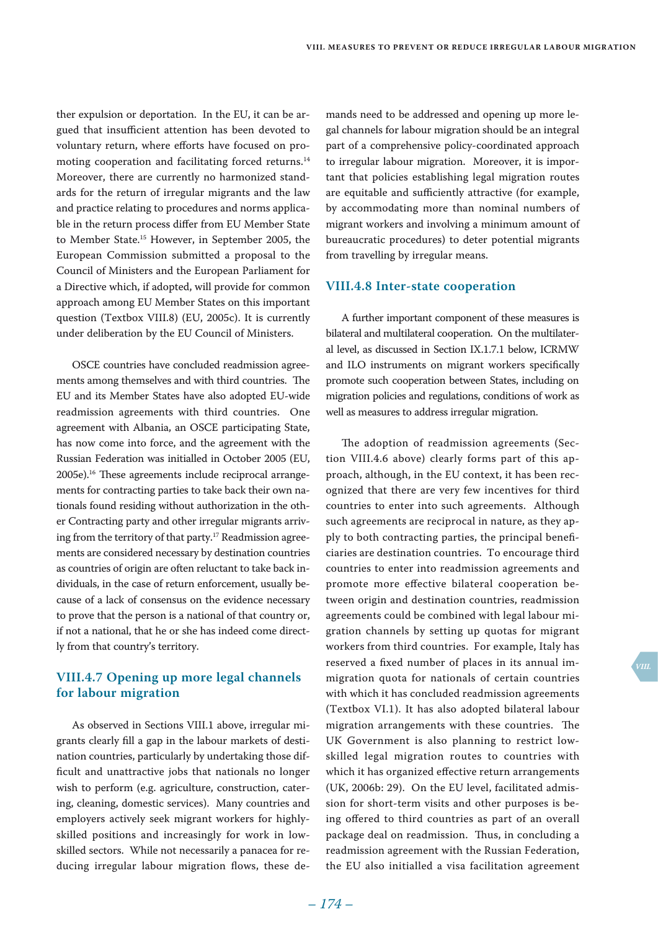ther expulsion or deportation. In the EU, it can be argued that insufficient attention has been devoted to voluntary return, where efforts have focused on promoting cooperation and facilitating forced returns.<sup>14</sup> Moreover, there are currently no harmonized standards for the return of irregular migrants and the law and practice relating to procedures and norms applicable in the return process differ from EU Member State to Member State.15 However, in September 2005, the European Commission submitted a proposal to the Council of Ministers and the European Parliament for a Directive which, if adopted, will provide for common approach among EU Member States on this important question (Textbox VIII.8) (EU, 2005c). It is currently under deliberation by the EU Council of Ministers.

OSCE countries have concluded readmission agreements among themselves and with third countries. The EU and its Member States have also adopted EU-wide readmission agreements with third countries. One agreement with Albania, an OSCE participating State, has now come into force, and the agreement with the Russian Federation was initialled in October 2005 (EU, 2005e).16 These agreements include reciprocal arrangements for contracting parties to take back their own nationals found residing without authorization in the other Contracting party and other irregular migrants arriving from the territory of that party.17 Readmission agreements are considered necessary by destination countries as countries of origin are often reluctant to take back individuals, in the case of return enforcement, usually because of a lack of consensus on the evidence necessary to prove that the person is a national of that country or, if not a national, that he or she has indeed come directly from that country's territory.

# **VIII.4.7 Opening up more legal channels for labour migration**

As observed in Sections VIII.1 above, irregular migrants clearly fill a gap in the labour markets of destination countries, particularly by undertaking those difficult and unattractive jobs that nationals no longer wish to perform (e.g. agriculture, construction, catering, cleaning, domestic services). Many countries and employers actively seek migrant workers for highlyskilled positions and increasingly for work in lowskilled sectors. While not necessarily a panacea for reducing irregular labour migration flows, these de-

mands need to be addressed and opening up more legal channels for labour migration should be an integral part of a comprehensive policy-coordinated approach to irregular labour migration. Moreover, it is important that policies establishing legal migration routes are equitable and sufficiently attractive (for example, by accommodating more than nominal numbers of migrant workers and involving a minimum amount of bureaucratic procedures) to deter potential migrants from travelling by irregular means.

#### **VIII.4.8 Inter-state cooperation**

A further important component of these measures is bilateral and multilateral cooperation. On the multilateral level, as discussed in Section IX.1.7.1 below, ICRMW and ILO instruments on migrant workers specifically promote such cooperation between States, including on migration policies and regulations, conditions of work as well as measures to address irregular migration.

The adoption of readmission agreements (Section VIII.4.6 above) clearly forms part of this approach, although, in the EU context, it has been recognized that there are very few incentives for third countries to enter into such agreements. Although such agreements are reciprocal in nature, as they apply to both contracting parties, the principal beneficiaries are destination countries. To encourage third countries to enter into readmission agreements and promote more effective bilateral cooperation between origin and destination countries, readmission agreements could be combined with legal labour migration channels by setting up quotas for migrant workers from third countries. For example, Italy has reserved a fixed number of places in its annual immigration quota for nationals of certain countries with which it has concluded readmission agreements (Textbox VI.1). It has also adopted bilateral labour migration arrangements with these countries. The UK Government is also planning to restrict lowskilled legal migration routes to countries with which it has organized effective return arrangements (UK, 2006b: 29). On the EU level, facilitated admission for short-term visits and other purposes is being offered to third countries as part of an overall package deal on readmission. Thus, in concluding a readmission agreement with the Russian Federation, the EU also initialled a visa facilitation agreement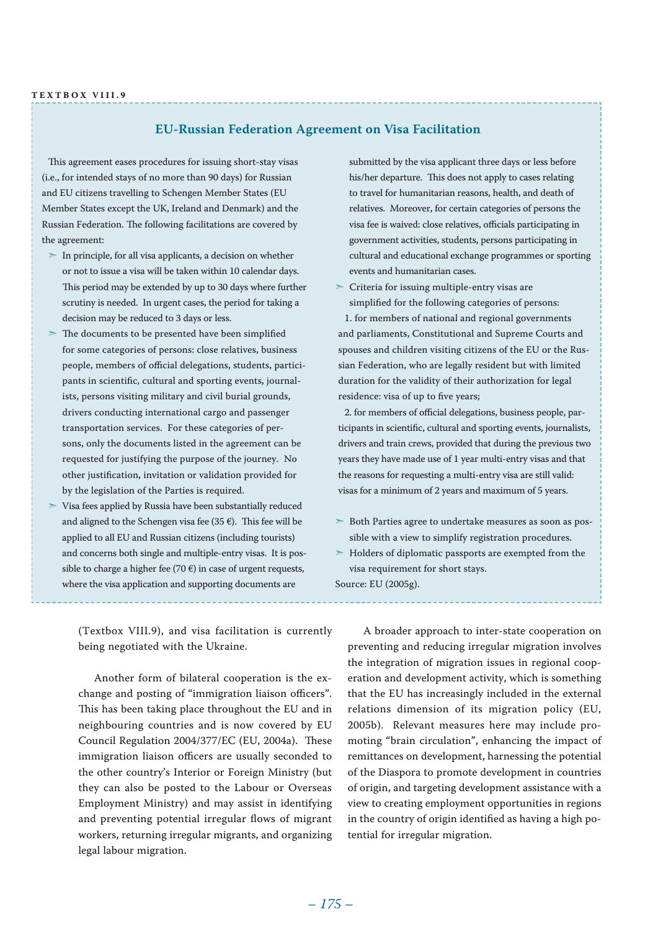### **EU-Russian Federation Agreement on Visa Facilitation**

This agreement eases procedures for issuing short-stay visas (i.e., for intended stays of no more than 90 days) for Russian and EU citizens travelling to Schengen Member States (EU Member States except the UK, Ireland and Denmark) and the Russian Federation. The following facilitations are covered by the agreement:

- $\triangleright$  In principle, for all visa applicants, a decision on whether or not to issue a visa will be taken within 10 calendar days. This period may be extended by up to 30 days where further scrutiny is needed. In urgent cases, the period for taking a decision may be reduced to 3 days or less.
- ➣ The documents to be presented have been simplified for some categories of persons: close relatives, business people, members of official delegations, students, participants in scientific, cultural and sporting events, journalists, persons visiting military and civil burial grounds, drivers conducting international cargo and passenger transportation services. For these categories of persons, only the documents listed in the agreement can be requested for justifying the purpose of the journey. No other justification, invitation or validation provided for by the legislation of the Parties is required.
- ➣ Visa fees applied by Russia have been substantially reduced and aligned to the Schengen visa fee (35 $\epsilon$ ). This fee will be applied to all EU and Russian citizens (including tourists) and concerns both single and multiple-entry visas. It is possible to charge a higher fee (70  $\varepsilon$ ) in case of urgent requests, where the visa application and supporting documents are

submitted by the visa applicant three days or less before his/her departure. This does not apply to cases relating to travel for humanitarian reasons, health, and death of relatives. Moreover, for certain categories of persons the visa fee is waived: close relatives, officials participating in government activities, students, persons participating in cultural and educational exchange programmes or sporting events and humanitarian cases.

 $\geq$  Criteria for issuing multiple-entry visas are simplified for the following categories of persons:

1. for members of national and regional governments and parliaments, Constitutional and Supreme Courts and spouses and children visiting citizens of the EU or the Russian Federation, who are legally resident but with limited duration for the validity of their authorization for legal residence: visa of up to five years;

2. for members of official delegations, business people, participants in scientific, cultural and sporting events, journalists, drivers and train crews, provided that during the previous two years they have made use of 1 year multi-entry visas and that the reasons for requesting a multi-entry visa are still valid: visas for a minimum of 2 years and maximum of 5 years.

- ➣ Both Parties agree to undertake measures as soon as possible with a view to simplify registration procedures.
- ➣ Holders of diplomatic passports are exempted from the visa requirement for short stays.

Source: EU (2005g).

(Textbox VIII.9), and visa facilitation is currently being negotiated with the Ukraine.

Another form of bilateral cooperation is the exchange and posting of "immigration liaison officers". This has been taking place throughout the EU and in neighbouring countries and is now covered by EU Council Regulation 2004/377/EC (EU, 2004a). These immigration liaison officers are usually seconded to the other country's Interior or Foreign Ministry (but they can also be posted to the Labour or Overseas Employment Ministry) and may assist in identifying and preventing potential irregular flows of migrant workers, returning irregular migrants, and organizing legal labour migration.

A broader approach to inter-state cooperation on preventing and reducing irregular migration involves the integration of migration issues in regional cooperation and development activity, which is something that the EU has increasingly included in the external relations dimension of its migration policy (EU, 2005b). Relevant measures here may include promoting "brain circulation", enhancing the impact of remittances on development, harnessing the potential of the Diaspora to promote development in countries of origin, and targeting development assistance with a view to creating employment opportunities in regions in the country of origin identified as having a high potential for irregular migration.